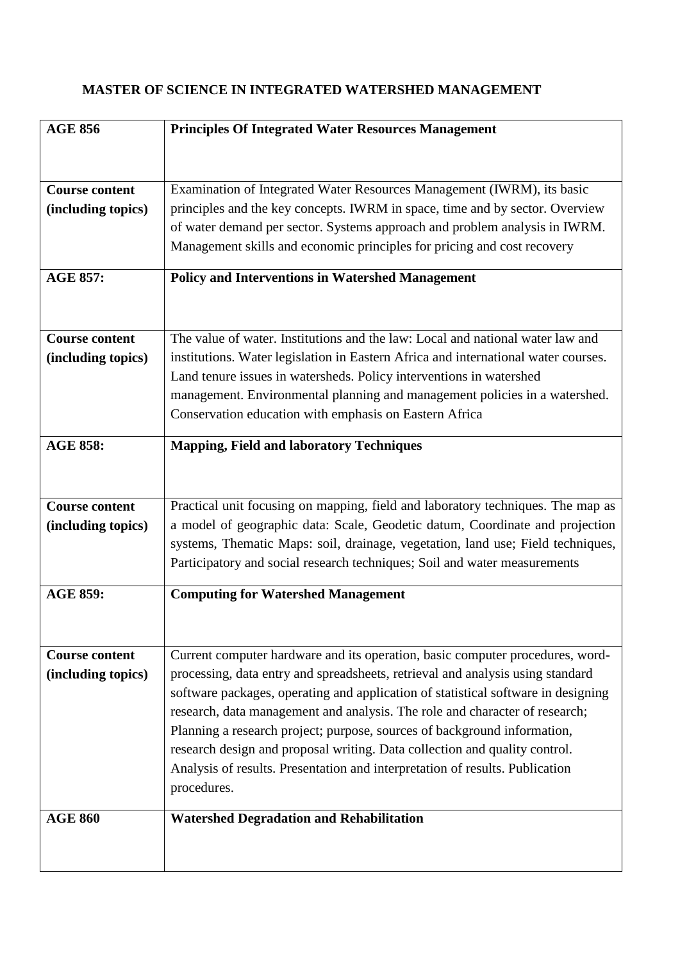## **MASTER OF SCIENCE IN INTEGRATED WATERSHED MANAGEMENT**

| <b>AGE 856</b>        | <b>Principles Of Integrated Water Resources Management</b>                         |
|-----------------------|------------------------------------------------------------------------------------|
|                       |                                                                                    |
|                       |                                                                                    |
| <b>Course content</b> | Examination of Integrated Water Resources Management (IWRM), its basic             |
| (including topics)    | principles and the key concepts. IWRM in space, time and by sector. Overview       |
|                       | of water demand per sector. Systems approach and problem analysis in IWRM.         |
|                       | Management skills and economic principles for pricing and cost recovery            |
| <b>AGE 857:</b>       | <b>Policy and Interventions in Watershed Management</b>                            |
|                       |                                                                                    |
|                       |                                                                                    |
| <b>Course content</b> | The value of water. Institutions and the law: Local and national water law and     |
| (including topics)    | institutions. Water legislation in Eastern Africa and international water courses. |
|                       | Land tenure issues in watersheds. Policy interventions in watershed                |
|                       | management. Environmental planning and management policies in a watershed.         |
|                       | Conservation education with emphasis on Eastern Africa                             |
| <b>AGE 858:</b>       | <b>Mapping, Field and laboratory Techniques</b>                                    |
|                       |                                                                                    |
|                       |                                                                                    |
| <b>Course content</b> | Practical unit focusing on mapping, field and laboratory techniques. The map as    |
| (including topics)    | a model of geographic data: Scale, Geodetic datum, Coordinate and projection       |
|                       | systems, Thematic Maps: soil, drainage, vegetation, land use; Field techniques,    |
|                       | Participatory and social research techniques; Soil and water measurements          |
| <b>AGE 859:</b>       | <b>Computing for Watershed Management</b>                                          |
|                       |                                                                                    |
|                       |                                                                                    |
| <b>Course content</b> | Current computer hardware and its operation, basic computer procedures, word-      |
| (including topics)    | processing, data entry and spreadsheets, retrieval and analysis using standard     |
|                       | software packages, operating and application of statistical software in designing  |
|                       | research, data management and analysis. The role and character of research;        |
|                       | Planning a research project; purpose, sources of background information,           |
|                       | research design and proposal writing. Data collection and quality control.         |
|                       | Analysis of results. Presentation and interpretation of results. Publication       |
|                       | procedures.                                                                        |
| <b>AGE 860</b>        | <b>Watershed Degradation and Rehabilitation</b>                                    |
|                       |                                                                                    |
|                       |                                                                                    |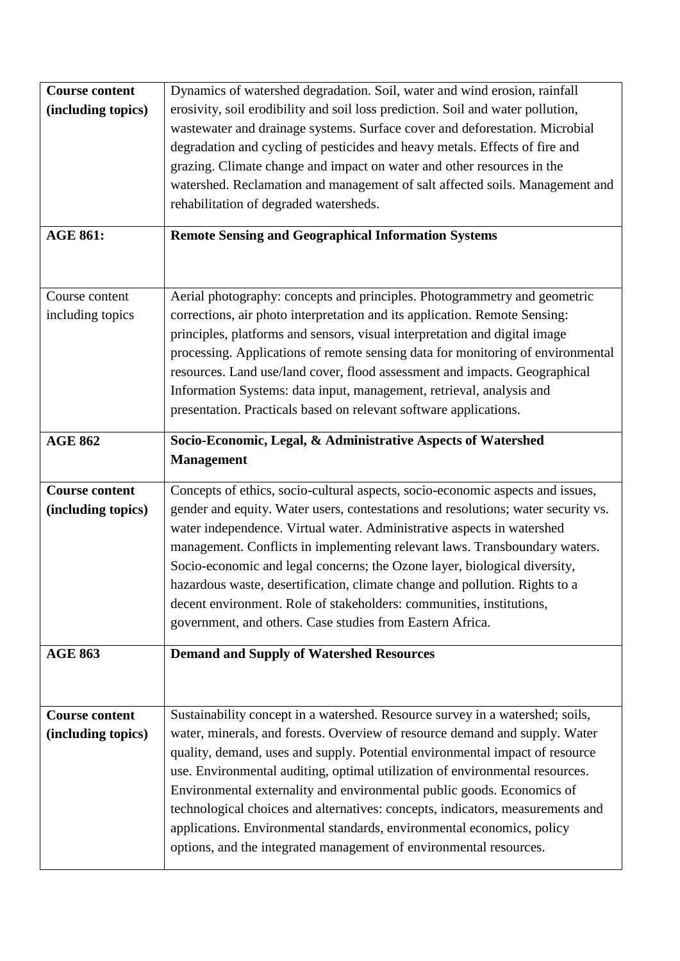| <b>Course content</b><br>(including topics) | Dynamics of watershed degradation. Soil, water and wind erosion, rainfall<br>erosivity, soil erodibility and soil loss prediction. Soil and water pollution,<br>wastewater and drainage systems. Surface cover and deforestation. Microbial<br>degradation and cycling of pesticides and heavy metals. Effects of fire and<br>grazing. Climate change and impact on water and other resources in the<br>watershed. Reclamation and management of salt affected soils. Management and<br>rehabilitation of degraded watersheds.                                                                                                           |
|---------------------------------------------|------------------------------------------------------------------------------------------------------------------------------------------------------------------------------------------------------------------------------------------------------------------------------------------------------------------------------------------------------------------------------------------------------------------------------------------------------------------------------------------------------------------------------------------------------------------------------------------------------------------------------------------|
| <b>AGE 861:</b>                             | <b>Remote Sensing and Geographical Information Systems</b>                                                                                                                                                                                                                                                                                                                                                                                                                                                                                                                                                                               |
| Course content<br>including topics          | Aerial photography: concepts and principles. Photogrammetry and geometric<br>corrections, air photo interpretation and its application. Remote Sensing:<br>principles, platforms and sensors, visual interpretation and digital image<br>processing. Applications of remote sensing data for monitoring of environmental<br>resources. Land use/land cover, flood assessment and impacts. Geographical<br>Information Systems: data input, management, retrieval, analysis and<br>presentation. Practicals based on relevant software applications.                                                                                      |
| <b>AGE 862</b>                              | Socio-Economic, Legal, & Administrative Aspects of Watershed<br><b>Management</b>                                                                                                                                                                                                                                                                                                                                                                                                                                                                                                                                                        |
| <b>Course content</b><br>(including topics) | Concepts of ethics, socio-cultural aspects, socio-economic aspects and issues,<br>gender and equity. Water users, contestations and resolutions; water security vs.<br>water independence. Virtual water. Administrative aspects in watershed<br>management. Conflicts in implementing relevant laws. Transboundary waters.<br>Socio-economic and legal concerns; the Ozone layer, biological diversity,<br>hazardous waste, desertification, climate change and pollution. Rights to a<br>decent environment. Role of stakeholders: communities, institutions,<br>government, and others. Case studies from Eastern Africa.             |
| <b>AGE 863</b>                              | <b>Demand and Supply of Watershed Resources</b>                                                                                                                                                                                                                                                                                                                                                                                                                                                                                                                                                                                          |
| <b>Course content</b><br>(including topics) | Sustainability concept in a watershed. Resource survey in a watershed; soils,<br>water, minerals, and forests. Overview of resource demand and supply. Water<br>quality, demand, uses and supply. Potential environmental impact of resource<br>use. Environmental auditing, optimal utilization of environmental resources.<br>Environmental externality and environmental public goods. Economics of<br>technological choices and alternatives: concepts, indicators, measurements and<br>applications. Environmental standards, environmental economics, policy<br>options, and the integrated management of environmental resources. |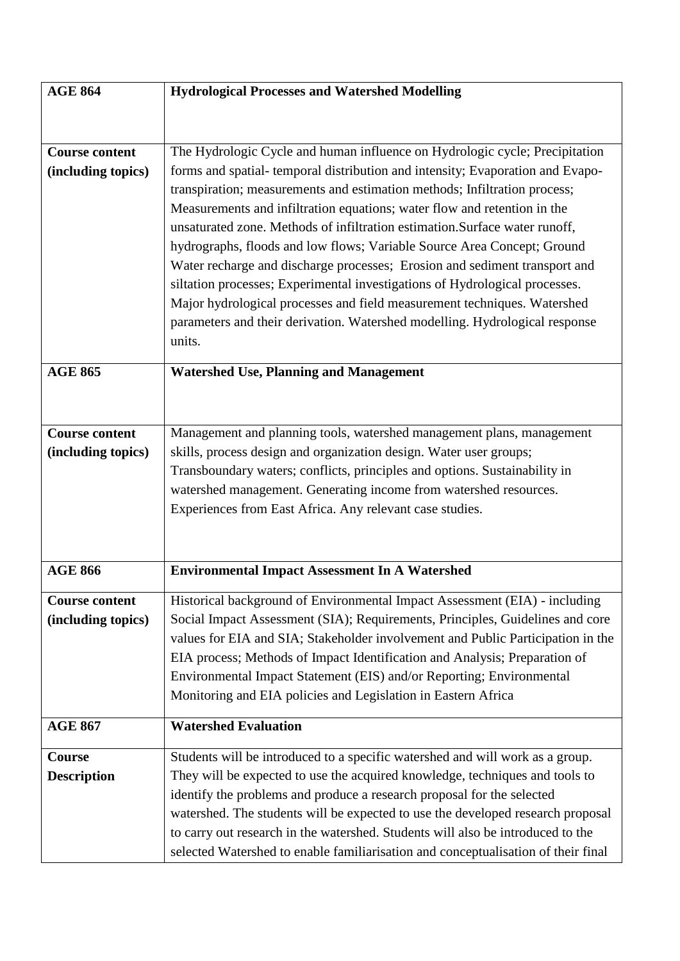| <b>AGE 864</b>        | <b>Hydrological Processes and Watershed Modelling</b>                             |
|-----------------------|-----------------------------------------------------------------------------------|
|                       |                                                                                   |
|                       |                                                                                   |
| <b>Course content</b> | The Hydrologic Cycle and human influence on Hydrologic cycle; Precipitation       |
| (including topics)    | forms and spatial-temporal distribution and intensity; Evaporation and Evapo-     |
|                       | transpiration; measurements and estimation methods; Infiltration process;         |
|                       | Measurements and infiltration equations; water flow and retention in the          |
|                       | unsaturated zone. Methods of infiltration estimation. Surface water runoff,       |
|                       | hydrographs, floods and low flows; Variable Source Area Concept; Ground           |
|                       | Water recharge and discharge processes; Erosion and sediment transport and        |
|                       | siltation processes; Experimental investigations of Hydrological processes.       |
|                       | Major hydrological processes and field measurement techniques. Watershed          |
|                       | parameters and their derivation. Watershed modelling. Hydrological response       |
|                       | units.                                                                            |
|                       |                                                                                   |
| <b>AGE 865</b>        | <b>Watershed Use, Planning and Management</b>                                     |
|                       |                                                                                   |
|                       |                                                                                   |
| <b>Course content</b> | Management and planning tools, watershed management plans, management             |
| (including topics)    | skills, process design and organization design. Water user groups;                |
|                       | Transboundary waters; conflicts, principles and options. Sustainability in        |
|                       | watershed management. Generating income from watershed resources.                 |
|                       | Experiences from East Africa. Any relevant case studies.                          |
|                       |                                                                                   |
|                       |                                                                                   |
| <b>AGE 866</b>        | <b>Environmental Impact Assessment In A Watershed</b>                             |
|                       |                                                                                   |
| <b>Course content</b> | Historical background of Environmental Impact Assessment (EIA) - including        |
| (including topics)    | Social Impact Assessment (SIA); Requirements, Principles, Guidelines and core     |
|                       | values for EIA and SIA; Stakeholder involvement and Public Participation in the   |
|                       | EIA process; Methods of Impact Identification and Analysis; Preparation of        |
|                       | Environmental Impact Statement (EIS) and/or Reporting; Environmental              |
|                       | Monitoring and EIA policies and Legislation in Eastern Africa                     |
| <b>AGE 867</b>        | <b>Watershed Evaluation</b>                                                       |
|                       |                                                                                   |
| Course                | Students will be introduced to a specific watershed and will work as a group.     |
| <b>Description</b>    | They will be expected to use the acquired knowledge, techniques and tools to      |
|                       | identify the problems and produce a research proposal for the selected            |
|                       | watershed. The students will be expected to use the developed research proposal   |
|                       | to carry out research in the watershed. Students will also be introduced to the   |
|                       | selected Watershed to enable familiarisation and conceptualisation of their final |